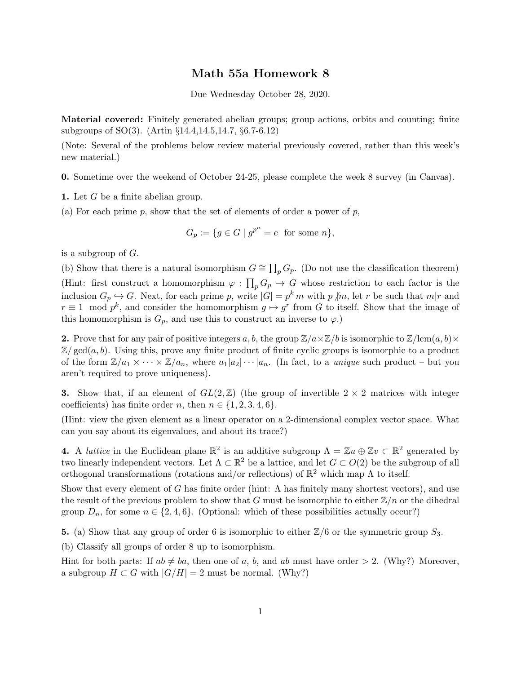## Math 55a Homework 8

Due Wednesday October 28, 2020.

Material covered: Finitely generated abelian groups; group actions, orbits and counting; finite subgroups of SO(3). (Artin §14.4,14.5,14.7, §6.7-6.12)

(Note: Several of the problems below review material previously covered, rather than this week's new material.)

0. Sometime over the weekend of October 24-25, please complete the week 8 survey (in Canvas).

1. Let G be a finite abelian group.

(a) For each prime p, show that the set of elements of order a power of p,

$$
G_p := \{ g \in G \mid g^{p^n} = e \text{ for some } n \},
$$

is a subgroup of  $G$ .

(b) Show that there is a natural isomorphism  $G \cong \prod_p G_p$ . (Do not use the classification theorem) (Hint: first construct a homomorphism  $\varphi : \prod_p G_p \to G$  whose restriction to each factor is the inclusion  $G_p \hookrightarrow G$ . Next, for each prime p, write  $|G| = p^k m$  with p  $\text{/}m$ , let r be such that  $m|r$  and  $r \equiv 1 \mod p^k$ , and consider the homomorphism  $g \mapsto g^r$  from G to itself. Show that the image of this homomorphism is  $G_p$ , and use this to construct an inverse to  $\varphi$ .)

**2.** Prove that for any pair of positive integers a, b, the group  $\mathbb{Z}/a \times \mathbb{Z}/b$  is isomorphic to  $\mathbb{Z}/\text{lcm}(a, b) \times$  $\mathbb{Z}/\text{gcd}(a, b)$ . Using this, prove any finite product of finite cyclic groups is isomorphic to a product of the form  $\mathbb{Z}/a_1 \times \cdots \times \mathbb{Z}/a_n$ , where  $a_1|a_2|\cdots|a_n$ . (In fact, to a *unique* such product – but you aren't required to prove uniqueness).

3. Show that, if an element of  $GL(2,\mathbb{Z})$  (the group of invertible  $2 \times 2$  matrices with integer coefficients) has finite order n, then  $n \in \{1, 2, 3, 4, 6\}.$ 

(Hint: view the given element as a linear operator on a 2-dimensional complex vector space. What can you say about its eigenvalues, and about its trace?)

**4.** A *lattice* in the Euclidean plane  $\mathbb{R}^2$  is an additive subgroup  $\Lambda = \mathbb{Z}u \oplus \mathbb{Z}v \subset \mathbb{R}^2$  generated by two linearly independent vectors. Let  $\Lambda \subset \mathbb{R}^2$  be a lattice, and let  $G \subset O(2)$  be the subgroup of all orthogonal transformations (rotations and/or reflections) of  $\mathbb{R}^2$  which map  $\Lambda$  to itself.

Show that every element of G has finite order (hint:  $\Lambda$  has finitely many shortest vectors), and use the result of the previous problem to show that G must be isomorphic to either  $\mathbb{Z}/n$  or the dihedral group  $D_n$ , for some  $n \in \{2, 4, 6\}$ . (Optional: which of these possibilities actually occur?)

5. (a) Show that any group of order 6 is isomorphic to either  $\mathbb{Z}/6$  or the symmetric group  $S_3$ .

(b) Classify all groups of order 8 up to isomorphism.

Hint for both parts: If  $ab \neq ba$ , then one of a, b, and ab must have order  $> 2$ . (Why?) Moreover, a subgroup  $H \subset G$  with  $|G/H| = 2$  must be normal. (Why?)